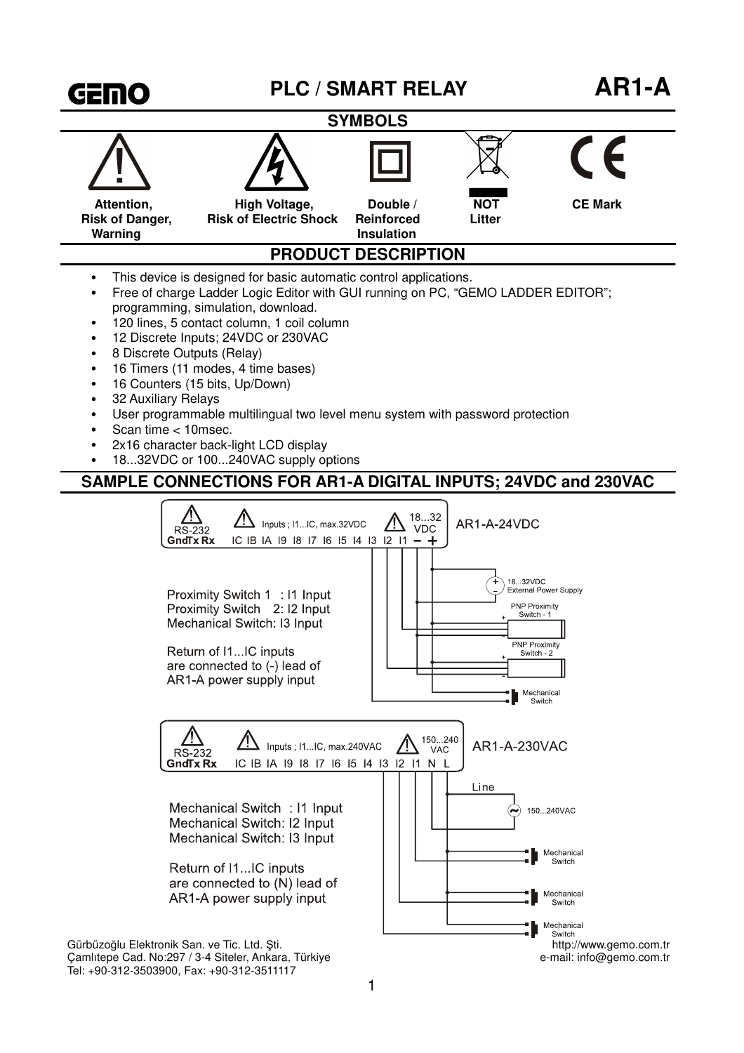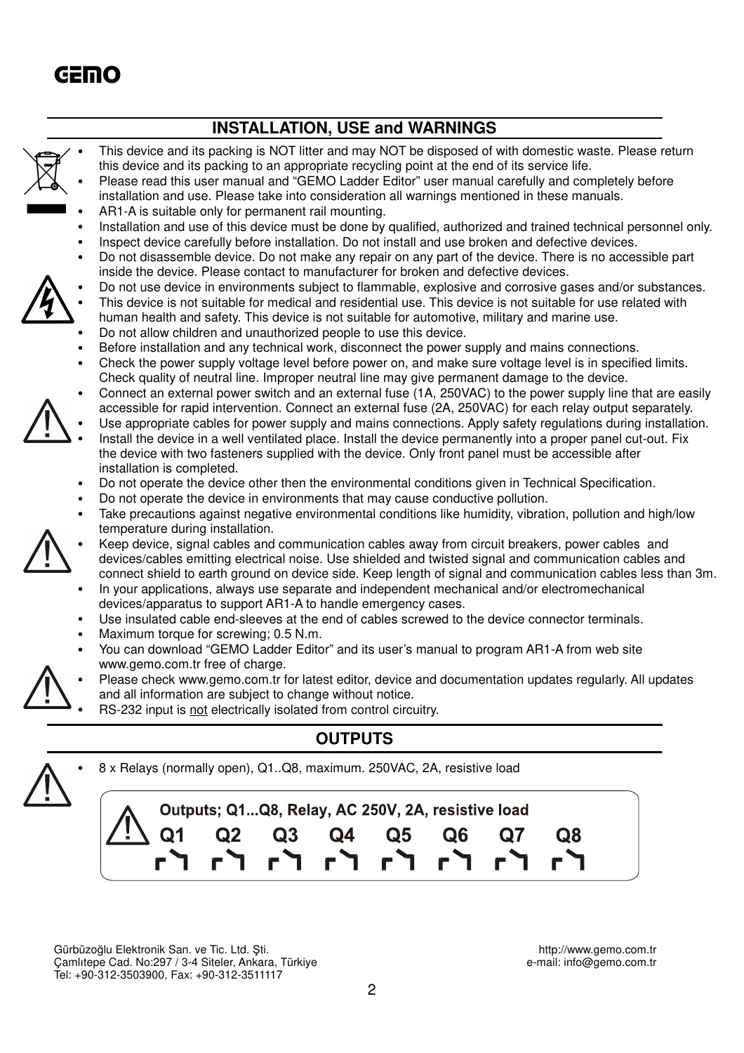

Gürbüzoğlu Elektronik San. ve Tic. Ltd. Şti. http://www.gemo.com.tr<br>Camlitepe Cad. No:297 / 3-4 Siteler, Ankara, Türkiye entersion between the e-mail: info@gemo.com.tr Camlıtepe Cad. No:297 / 3-4 Siteler, Ankara, Türkiye Tel: +90-312-3503900, Fax: +90-312-3511117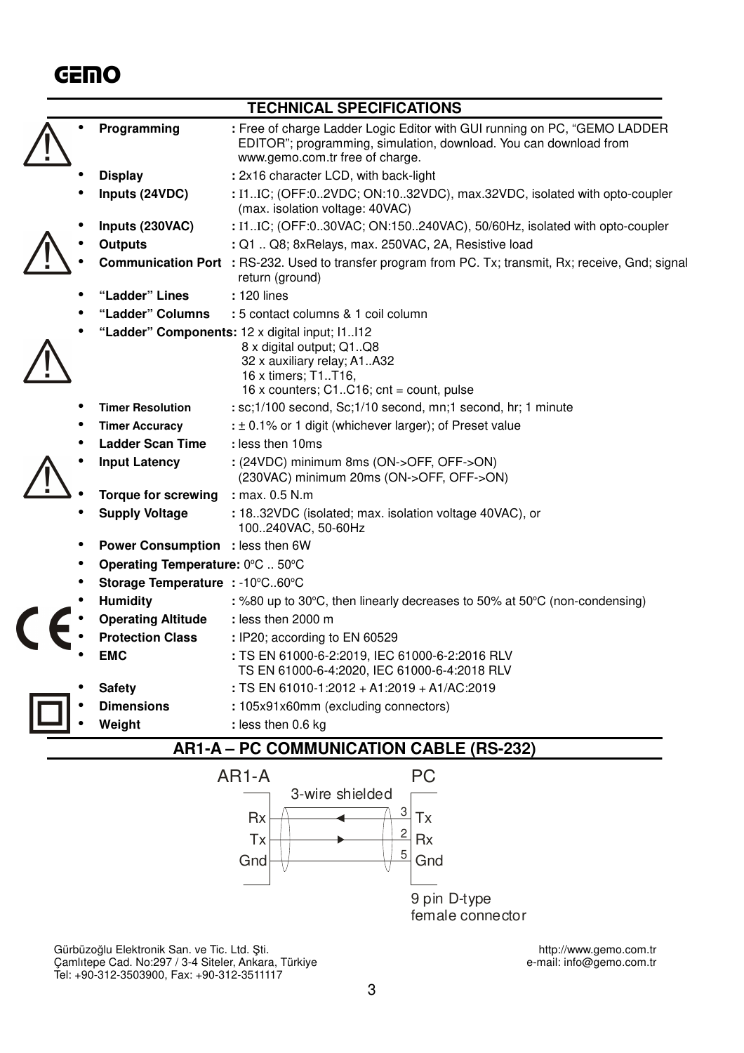## **GEMO**

|                                         |                                         | <b>TECHNICAL SPECIFICATIONS</b>                                                                                                                                                     |
|-----------------------------------------|-----------------------------------------|-------------------------------------------------------------------------------------------------------------------------------------------------------------------------------------|
|                                         | Programming                             | : Free of charge Ladder Logic Editor with GUI running on PC, "GEMO LADDER<br>EDITOR"; programming, simulation, download. You can download from<br>www.gemo.com.tr free of charge.   |
|                                         | <b>Display</b>                          | : 2x16 character LCD, with back-light                                                                                                                                               |
|                                         | Inputs (24VDC)                          | : I1IC; (OFF:02VDC; ON:1032VDC), max.32VDC, isolated with opto-coupler<br>(max. isolation voltage: 40VAC)                                                                           |
|                                         | Inputs (230VAC)                         | : I1IC; (OFF:030VAC; ON:150240VAC), 50/60Hz, isolated with opto-coupler                                                                                                             |
|                                         | <b>Outputs</b>                          | : Q1  Q8; 8xRelays, max. 250VAC, 2A, Resistive load                                                                                                                                 |
|                                         |                                         | <b>Communication Port</b> : RS-232. Used to transfer program from PC. Tx; transmit, Rx; receive, Gnd; signal<br>return (ground)                                                     |
|                                         | "Ladder" Lines                          | : 120 lines                                                                                                                                                                         |
|                                         | "Ladder" Columns                        | : 5 contact columns & 1 coil column                                                                                                                                                 |
|                                         |                                         | "Ladder" Components: 12 x digital input; I1112<br>8 x digital output; Q1Q8<br>32 x auxiliary relay; A1A32<br>16 x timers; T1T16,<br>16 x counters; $C1.C16$ ; $cnt = count$ , pulse |
|                                         | <b>Timer Resolution</b>                 | : sc;1/100 second, Sc;1/10 second, mn;1 second, hr; 1 minute                                                                                                                        |
|                                         | <b>Timer Accuracy</b>                   | : ± 0.1% or 1 digit (whichever larger); of Preset value                                                                                                                             |
|                                         | <b>Ladder Scan Time</b>                 | : less then 10ms                                                                                                                                                                    |
|                                         | <b>Input Latency</b>                    | : (24VDC) minimum 8ms (ON->OFF, OFF->ON)<br>(230VAC) minimum 20ms (ON->OFF, OFF->ON)                                                                                                |
|                                         | <b>Torque for screwing</b>              | : max. 0.5 N.m                                                                                                                                                                      |
|                                         | <b>Supply Voltage</b>                   | : 18.32VDC (isolated; max. isolation voltage 40VAC), or<br>100240VAC, 50-60Hz                                                                                                       |
|                                         | <b>Power Consumption</b> : less then 6W |                                                                                                                                                                                     |
|                                         | Operating Temperature: 0°C  50°C        |                                                                                                                                                                                     |
|                                         | Storage Temperature : -10°C60°C         |                                                                                                                                                                                     |
|                                         | <b>Humidity</b>                         | : %80 up to 30°C, then linearly decreases to 50% at 50°C (non-condensing)                                                                                                           |
|                                         | <b>Operating Altitude</b>               | : less then 2000 m                                                                                                                                                                  |
|                                         | <b>Protection Class</b>                 | : IP20; according to EN 60529                                                                                                                                                       |
|                                         | <b>EMC</b>                              | : TS EN 61000-6-2:2019, IEC 61000-6-2:2016 RLV<br>TS EN 61000-6-4:2020, IEC 61000-6-4:2018 RLV                                                                                      |
|                                         | <b>Safety</b>                           | : TS EN 61010-1:2012 + A1:2019 + A1/AC:2019                                                                                                                                         |
|                                         | <b>Dimensions</b>                       | : 105x91x60mm (excluding connectors)                                                                                                                                                |
|                                         | Weight                                  | : less then 0.6 kg                                                                                                                                                                  |
| AR1-A – PC COMMUNICATION CABLE (RS-232) |                                         |                                                                                                                                                                                     |
| AR <sub>1</sub> -A<br><b>PC</b>         |                                         |                                                                                                                                                                                     |
|                                         |                                         | 3-wire shielded                                                                                                                                                                     |



Gürbüzoğlu Elektronik San. ve Tic. Ltd. Şti. http://www.gemo.com.tr Çamlıtepe Cad. No:297 / 3-4 Siteler, Ankara, Türkiye e-mail: info@gemo.com.tr Tel: +90-312-3503900, Fax: +90-312-3511117